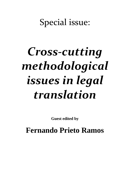## Special issue:

## *Cross-cutting methodological issues in legal translation*

**Guest edited by**

**Fernando Prieto Ramos**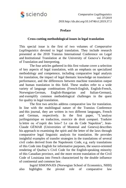

*Comparative Legilinguistics vol. 37/2019 DOI:http://dx.doi.org/10.14746/cl.2019.37.5*

## **Preface**

## **Cross-cutting methodological issues in legal translation**

This special issue is the first of two volumes of *Comparative Legilinguistics* devoted to legal translation. They include research presented at the 2018 Transius International Conference on Legal and Institutional Translation at the University of Geneva's Faculty of Translation and Interpreting.

The four articles gathered in this first volume cover a selection of key aspects of legal translation, with an emphasis on specialized methodology and competence, including comparative legal analysis for translation, the impact of legal thematic knowledge on translators' performance, and the differences between machine translation output and human translation in this field. These studies refer to a wide variety of language combinations (French-English, English-French, Norwegian-German, English-Hungarian and Italian-German), and exemplify common methodological challenges in the quest for quality in legal translation.

The first two articles address comparative law for translation. In line with the multilingual nature of the Transius Conference and this journal, they are written in two different languages, French and German, respectively. In the first paper, "L'analyse jurilinguistique en traduction, exercice de droit comparé. Traduire la lettre ou «l'esprit des lois»? Le cas du Code Napoléon", Jean-Claude GÉMAR (Universities of Montreal and Geneva) describes his approach to examining the spirit and the letter of the laws through comparative legal linguistic analysis for translation. He provides insightful examples of transfer strategies in the translations of several civil codes derived from the Napoleonic Code, e.g. early translations of this Code into English for informative purposes, the source-oriented rendering of Quebec's Civil Code for the English-speaking minority of this Canadian province, and the more recent translation of the Civil Code of Louisiana into French characterized by the double influence of continental and common law.

Ingrid SIMONNÆS (Norwegian School of Economics, NHH) also highlights the pivotal role of comparative law